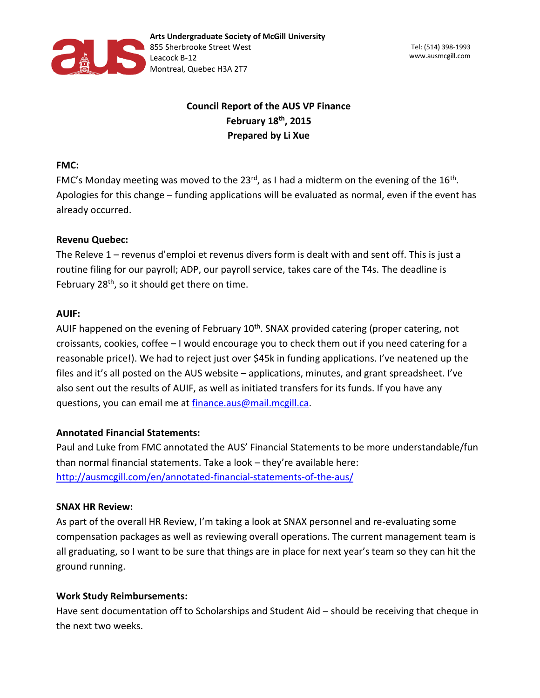

# **Council Report of the AUS VP Finance February 18th, 2015 Prepared by Li Xue**

### **FMC:**

FMC's Monday meeting was moved to the 23<sup>rd</sup>, as I had a midterm on the evening of the 16<sup>th</sup>. Apologies for this change – funding applications will be evaluated as normal, even if the event has already occurred.

# **Revenu Quebec:**

The Releve 1 – revenus d'emploi et revenus divers form is dealt with and sent off. This is just a routine filing for our payroll; ADP, our payroll service, takes care of the T4s. The deadline is February  $28<sup>th</sup>$ , so it should get there on time.

# **AUIF:**

AUIF happened on the evening of February  $10<sup>th</sup>$ . SNAX provided catering (proper catering, not croissants, cookies, coffee – I would encourage you to check them out if you need catering for a reasonable price!). We had to reject just over \$45k in funding applications. I've neatened up the files and it's all posted on the AUS website – applications, minutes, and grant spreadsheet. I've also sent out the results of AUIF, as well as initiated transfers for its funds. If you have any questions, you can email me at [finance.aus@mail.mcgill.ca.](mailto:finance.aus@mail.mcgill.ca)

# **Annotated Financial Statements:**

Paul and Luke from FMC annotated the AUS' Financial Statements to be more understandable/fun than normal financial statements. Take a look – they're available here: <http://ausmcgill.com/en/annotated-financial-statements-of-the-aus/>

#### **SNAX HR Review:**

As part of the overall HR Review, I'm taking a look at SNAX personnel and re-evaluating some compensation packages as well as reviewing overall operations. The current management team is all graduating, so I want to be sure that things are in place for next year's team so they can hit the ground running.

#### **Work Study Reimbursements:**

Have sent documentation off to Scholarships and Student Aid – should be receiving that cheque in the next two weeks.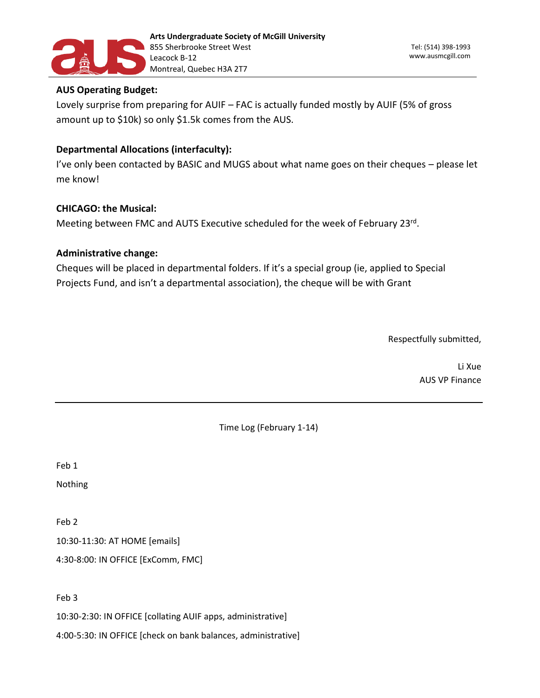

# **AUS Operating Budget:**

Lovely surprise from preparing for AUIF – FAC is actually funded mostly by AUIF (5% of gross amount up to \$10k) so only \$1.5k comes from the AUS.

# **Departmental Allocations (interfaculty):**

I've only been contacted by BASIC and MUGS about what name goes on their cheques – please let me know!

# **CHICAGO: the Musical:**

Meeting between FMC and AUTS Executive scheduled for the week of February 23rd.

#### **Administrative change:**

Cheques will be placed in departmental folders. If it's a special group (ie, applied to Special Projects Fund, and isn't a departmental association), the cheque will be with Grant

Respectfully submitted,

Li Xue AUS VP Finance

Time Log (February 1-14)

Feb 1

Nothing

Feb 2

10:30-11:30: AT HOME [emails]

4:30-8:00: IN OFFICE [ExComm, FMC]

Feb 3

10:30-2:30: IN OFFICE [collating AUIF apps, administrative]

4:00-5:30: IN OFFICE [check on bank balances, administrative]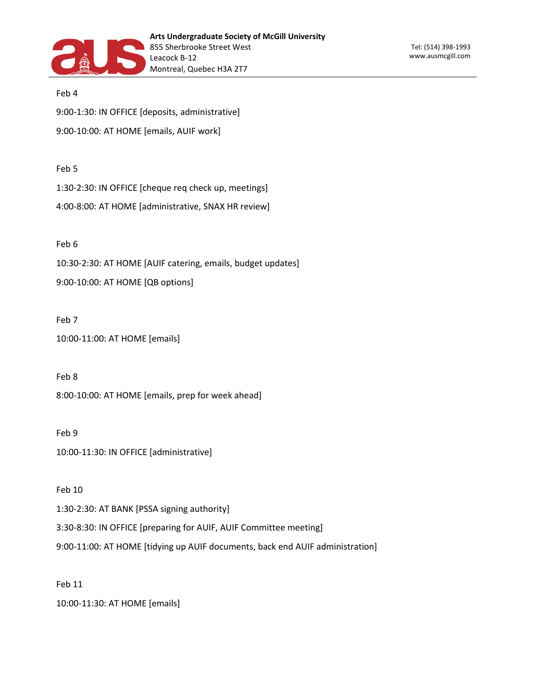

Feb 4 9:00-1:30: IN OFFICE [deposits, administrative] 9:00-10:00: AT HOME [emails, AUIF work]

#### Feb 5

1:30-2:30: IN OFFICE [cheque req check up, meetings]

4:00-8:00: AT HOME [administrative, SNAX HR review]

#### Feb 6

10:30-2:30: AT HOME [AUIF catering, emails, budget updates]

9:00-10:00: AT HOME [QB options]

#### Feb 7

```
10:00-11:00: AT HOME [emails]
```
Feb 8

8:00-10:00: AT HOME [emails, prep for week ahead]

Feb 9

10:00-11:30: IN OFFICE [administrative]

Feb 10

1:30-2:30: AT BANK [PSSA signing authority]

3:30-8:30: IN OFFICE [preparing for AUIF, AUIF Committee meeting]

9:00-11:00: AT HOME [tidying up AUIF documents, back end AUIF administration]

Feb 11

10:00-11:30: AT HOME [emails]